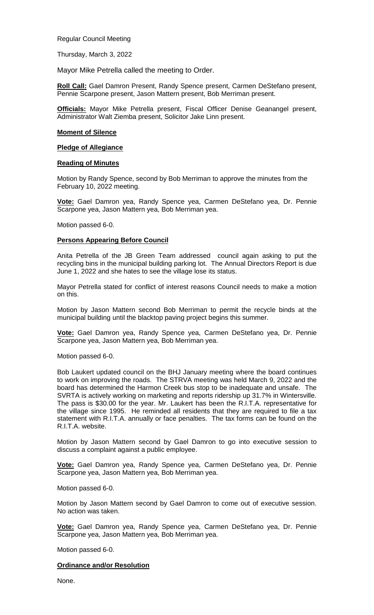Regular Council Meeting

Thursday, March 3, 2022

Mayor Mike Petrella called the meeting to Order.

**Roll Call:** Gael Damron Present, Randy Spence present, Carmen DeStefano present, Pennie Scarpone present, Jason Mattern present, Bob Merriman present.

**Officials:** Mayor Mike Petrella present, Fiscal Officer Denise Geanangel present, Administrator Walt Ziemba present, Solicitor Jake Linn present.

#### **Moment of Silence**

#### **Pledge of Allegiance**

#### **Reading of Minutes**

Motion by Randy Spence, second by Bob Merriman to approve the minutes from the February 10, 2022 meeting.

**Vote:** Gael Damron yea, Randy Spence yea, Carmen DeStefano yea, Dr. Pennie Scarpone yea, Jason Mattern yea, Bob Merriman yea.

Motion passed 6-0.

### **Persons Appearing Before Council**

Anita Petrella of the JB Green Team addressed council again asking to put the recycling bins in the municipal building parking lot. The Annual Directors Report is due June 1, 2022 and she hates to see the village lose its status.

Mayor Petrella stated for conflict of interest reasons Council needs to make a motion on this.

Motion by Jason Mattern second Bob Merriman to permit the recycle binds at the municipal building until the blacktop paving project begins this summer.

**Vote:** Gael Damron yea, Randy Spence yea, Carmen DeStefano yea, Dr. Pennie Scarpone yea, Jason Mattern yea, Bob Merriman yea.

Motion passed 6-0.

Bob Laukert updated council on the BHJ January meeting where the board continues to work on improving the roads. The STRVA meeting was held March 9, 2022 and the board has determined the Harmon Creek bus stop to be inadequate and unsafe. The SVRTA is actively working on marketing and reports ridership up 31.7% in Wintersville. The pass is \$30.00 for the year. Mr. Laukert has been the R.I.T.A. representative for the village since 1995. He reminded all residents that they are required to file a tax statement with R.I.T.A. annually or face penalties. The tax forms can be found on the R.I.T.A. website.

Motion by Jason Mattern second by Gael Damron to go into executive session to discuss a complaint against a public employee.

**Vote:** Gael Damron yea, Randy Spence yea, Carmen DeStefano yea, Dr. Pennie Scarpone yea, Jason Mattern yea, Bob Merriman yea.

Motion passed 6-0.

Motion by Jason Mattern second by Gael Damron to come out of executive session. No action was taken.

**Vote:** Gael Damron yea, Randy Spence yea, Carmen DeStefano yea, Dr. Pennie Scarpone yea, Jason Mattern yea, Bob Merriman yea.

Motion passed 6-0.

### **Ordinance and/or Resolution**

None.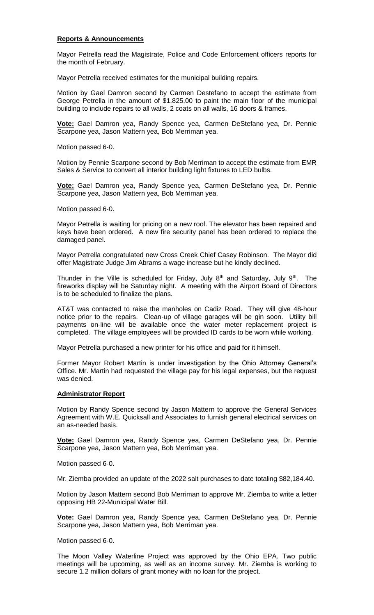### **Reports & Announcements**

Mayor Petrella read the Magistrate, Police and Code Enforcement officers reports for the month of February.

Mayor Petrella received estimates for the municipal building repairs.

Motion by Gael Damron second by Carmen Destefano to accept the estimate from George Petrella in the amount of \$1,825.00 to paint the main floor of the municipal building to include repairs to all walls, 2 coats on all walls, 16 doors & frames.

**Vote:** Gael Damron yea, Randy Spence yea, Carmen DeStefano yea, Dr. Pennie Scarpone yea, Jason Mattern yea, Bob Merriman yea.

Motion passed 6-0.

Motion by Pennie Scarpone second by Bob Merriman to accept the estimate from EMR Sales & Service to convert all interior building light fixtures to LED bulbs.

**Vote:** Gael Damron yea, Randy Spence yea, Carmen DeStefano yea, Dr. Pennie Scarpone yea, Jason Mattern yea, Bob Merriman yea.

Motion passed 6-0.

Mayor Petrella is waiting for pricing on a new roof. The elevator has been repaired and keys have been ordered. A new fire security panel has been ordered to replace the damaged panel.

Mayor Petrella congratulated new Cross Creek Chief Casey Robinson. The Mayor did offer Magistrate Judge Jim Abrams a wage increase but he kindly declined.

Thunder in the Ville is scheduled for Friday, July  $8<sup>th</sup>$  and Saturday, July  $9<sup>th</sup>$ . The fireworks display will be Saturday night. A meeting with the Airport Board of Directors is to be scheduled to finalize the plans.

AT&T was contacted to raise the manholes on Cadiz Road. They will give 48-hour notice prior to the repairs. Clean-up of village garages will be gin soon. Utility bill payments on-line will be available once the water meter replacement project is completed. The village employees will be provided ID cards to be worn while working.

Mayor Petrella purchased a new printer for his office and paid for it himself.

Former Mayor Robert Martin is under investigation by the Ohio Attorney General's Office. Mr. Martin had requested the village pay for his legal expenses, but the request was denied.

# **Administrator Report**

Motion by Randy Spence second by Jason Mattern to approve the General Services Agreement with W.E. Quicksall and Associates to furnish general electrical services on an as-needed basis.

**Vote:** Gael Damron yea, Randy Spence yea, Carmen DeStefano yea, Dr. Pennie Scarpone yea, Jason Mattern yea, Bob Merriman yea.

Motion passed 6-0.

Mr. Ziemba provided an update of the 2022 salt purchases to date totaling \$82,184.40.

Motion by Jason Mattern second Bob Merriman to approve Mr. Ziemba to write a letter opposing HB 22-Municipal Water Bill.

**Vote:** Gael Damron yea, Randy Spence yea, Carmen DeStefano yea, Dr. Pennie Scarpone yea, Jason Mattern yea, Bob Merriman yea.

Motion passed 6-0.

The Moon Valley Waterline Project was approved by the Ohio EPA. Two public meetings will be upcoming, as well as an income survey. Mr. Ziemba is working to secure 1.2 million dollars of grant money with no loan for the project.